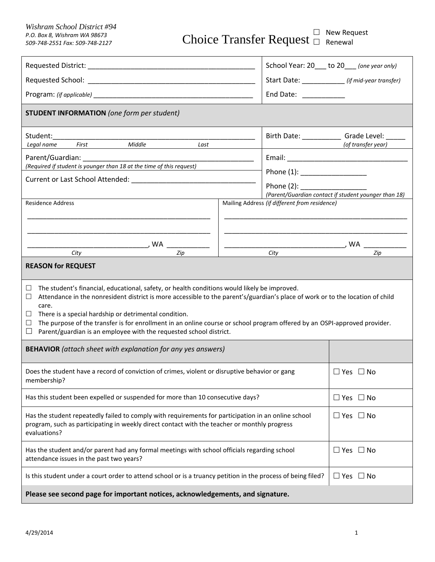*F.O. Box 8, Wishram WA 98673*<br>*509-748-2551 Fax: 509-748-2127* Choice Transfer Request  $\Box$  Renewal

|                                                                                                                                                                                                                                                                                                                                                                                                                                                                                                                         |                                                       | School Year: 20 to 20 (one year only)                                  |  |
|-------------------------------------------------------------------------------------------------------------------------------------------------------------------------------------------------------------------------------------------------------------------------------------------------------------------------------------------------------------------------------------------------------------------------------------------------------------------------------------------------------------------------|-------------------------------------------------------|------------------------------------------------------------------------|--|
|                                                                                                                                                                                                                                                                                                                                                                                                                                                                                                                         |                                                       | Start Date: ____________ (if mid-year transfer)                        |  |
|                                                                                                                                                                                                                                                                                                                                                                                                                                                                                                                         | End Date: National Assembly                           |                                                                        |  |
| <b>STUDENT INFORMATION</b> (one form per student)                                                                                                                                                                                                                                                                                                                                                                                                                                                                       |                                                       |                                                                        |  |
| Student:<br>Legal name First Middle Last                                                                                                                                                                                                                                                                                                                                                                                                                                                                                |                                                       | Birth Date: ________________ Grade Level: ______<br>(of transfer year) |  |
| Parent/Guardian: _                                                                                                                                                                                                                                                                                                                                                                                                                                                                                                      |                                                       |                                                                        |  |
| (Required if student is younger than 18 at the time of this request)                                                                                                                                                                                                                                                                                                                                                                                                                                                    |                                                       |                                                                        |  |
|                                                                                                                                                                                                                                                                                                                                                                                                                                                                                                                         | Phone $(1):$ ____________________                     |                                                                        |  |
|                                                                                                                                                                                                                                                                                                                                                                                                                                                                                                                         |                                                       | (Parent/Guardian contact if student younger than 18)                   |  |
| <b>Residence Address</b>                                                                                                                                                                                                                                                                                                                                                                                                                                                                                                | Mailing Address (if different from residence)         |                                                                        |  |
|                                                                                                                                                                                                                                                                                                                                                                                                                                                                                                                         |                                                       |                                                                        |  |
|                                                                                                                                                                                                                                                                                                                                                                                                                                                                                                                         |                                                       |                                                                        |  |
|                                                                                                                                                                                                                                                                                                                                                                                                                                                                                                                         |                                                       |                                                                        |  |
| $\frac{1}{\sqrt{C_{i}}\sqrt{C_{i}}\sqrt{C_{i}}\sqrt{C_{i}}\sqrt{C_{i}}\sqrt{C_{i}}\sqrt{C_{i}}\sqrt{C_{i}}\sqrt{C_{i}}\sqrt{C_{i}}\sqrt{C_{i}}\sqrt{C_{i}}\sqrt{C_{i}}\sqrt{C_{i}}\sqrt{C_{i}}\sqrt{C_{i}}\sqrt{C_{i}}\sqrt{C_{i}}\sqrt{C_{i}}\sqrt{C_{i}}\sqrt{C_{i}}\sqrt{C_{i}}\sqrt{C_{i}}\sqrt{C_{i}}$                                                                                                                                                                                                             | $\overbrace{\text{City}}$ WA $\overbrace{\text{Zip}}$ |                                                                        |  |
| <b>REASON for REQUEST</b>                                                                                                                                                                                                                                                                                                                                                                                                                                                                                               |                                                       |                                                                        |  |
| The student's financial, educational, safety, or health conditions would likely be improved.<br>⊔<br>Attendance in the nonresident district is more accessible to the parent's/guardian's place of work or to the location of child<br>⊔<br>care.<br>There is a special hardship or detrimental condition.<br>⊔<br>The purpose of the transfer is for enrollment in an online course or school program offered by an OSPI-approved provider.<br>⊔<br>Parent/guardian is an employee with the requested school district. |                                                       |                                                                        |  |
| <b>BEHAVIOR</b> (attach sheet with explanation for any yes answers)                                                                                                                                                                                                                                                                                                                                                                                                                                                     |                                                       |                                                                        |  |
| Does the student have a record of conviction of crimes, violent or disruptive behavior or gang<br>membership?                                                                                                                                                                                                                                                                                                                                                                                                           |                                                       | $\Box$ Yes $\Box$ No                                                   |  |
| Has this student been expelled or suspended for more than 10 consecutive days?                                                                                                                                                                                                                                                                                                                                                                                                                                          |                                                       | $\Box$ Yes $\Box$ No                                                   |  |
| Has the student repeatedly failed to comply with requirements for participation in an online school<br>program, such as participating in weekly direct contact with the teacher or monthly progress<br>evaluations?                                                                                                                                                                                                                                                                                                     |                                                       | $\Box$ Yes $\Box$ No                                                   |  |
| Has the student and/or parent had any formal meetings with school officials regarding school<br>attendance issues in the past two years?                                                                                                                                                                                                                                                                                                                                                                                |                                                       | $\Box$ Yes $\Box$ No                                                   |  |
| Is this student under a court order to attend school or is a truancy petition in the process of being filed?                                                                                                                                                                                                                                                                                                                                                                                                            |                                                       | $\Box$ Yes $\Box$ No                                                   |  |
| Please see second page for important notices, acknowledgements, and signature.                                                                                                                                                                                                                                                                                                                                                                                                                                          |                                                       |                                                                        |  |